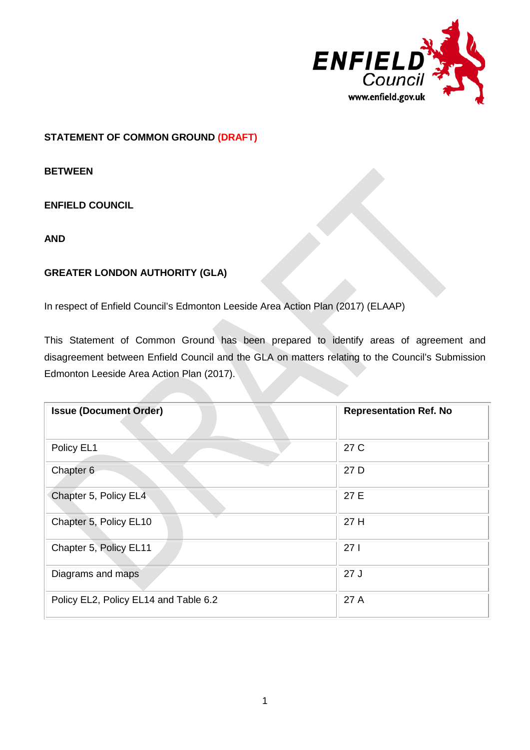

# **STATEMENT OF COMMON GROUND (DRAFT)**

**BETWEEN**

### **ENFIELD COUNCIL**

**AND**

# **GREATER LONDON AUTHORITY (GLA)**

In respect of Enfield Council's Edmonton Leeside Area Action Plan (2017) (ELAAP)

This Statement of Common Ground has been prepared to identify areas of agreement and disagreement between Enfield Council and the GLA on matters relating to the Council's Submission Edmonton Leeside Area Action Plan (2017).

| <b>Issue (Document Order)</b>         | <b>Representation Ref. No</b> |
|---------------------------------------|-------------------------------|
| Policy EL1                            | 27 C                          |
| Chapter 6                             | 27 D                          |
| Chapter 5, Policy EL4                 | 27 E                          |
| Chapter 5, Policy EL10                | 27 H                          |
| Chapter 5, Policy EL11                | 271                           |
| Diagrams and maps                     | 27J                           |
| Policy EL2, Policy EL14 and Table 6.2 | 27 A                          |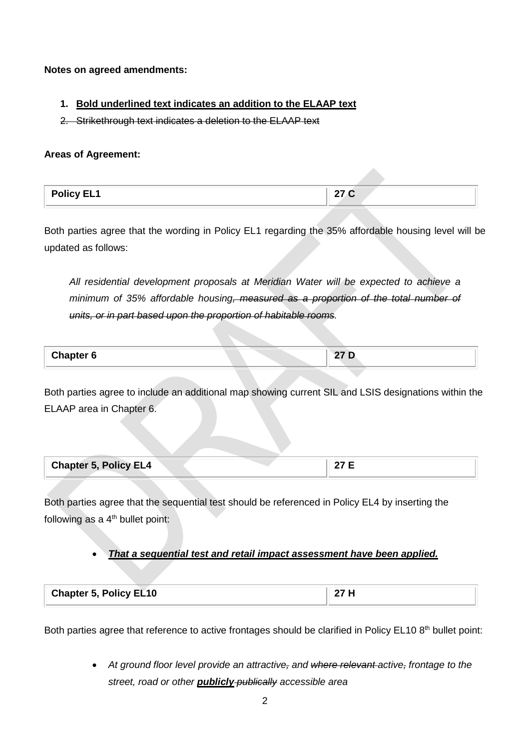**Notes on agreed amendments:**

### **1. Bold underlined text indicates an addition to the ELAAP text**

2. Strikethrough text indicates a deletion to the ELAAP text

#### **Areas of Agreement:**

| <b>Policy EL1</b> | w<br>. |
|-------------------|--------|
|                   |        |

Both parties agree that the wording in Policy EL1 regarding the 35% affordable housing level will be updated as follows:

*All residential development proposals at Meridian Water will be expected to achieve a minimum of 35% affordable housing, measured as a proportion of the total number of units, or in part based upon the proportion of habitable rooms.*

**Chapter 6 27 D**

Both parties agree to include an additional map showing current SIL and LSIS designations within the ELAAP area in Chapter 6.

| <b>Chapter 5, Policy EL4</b> |  |  |
|------------------------------|--|--|
|                              |  |  |

Both parties agree that the sequential test should be referenced in Policy EL4 by inserting the following as a  $4<sup>th</sup>$  bullet point:

## • *That a sequential test and retail impact assessment have been applied.*

| <b>Chapter 5, Policy EL10</b> | 27H |
|-------------------------------|-----|
|                               |     |

Both parties agree that reference to active frontages should be clarified in Policy EL10 8<sup>th</sup> bullet point:

• *At ground floor level provide an attractive, and where relevant active, frontage to the street, road or other publicly publically accessible area*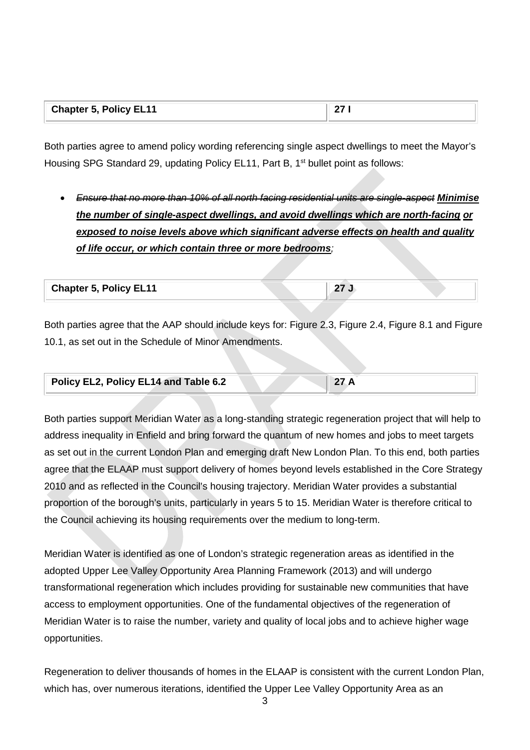|  | <b>Chapter 5, Policy EL11</b> |  |
|--|-------------------------------|--|
|--|-------------------------------|--|

Both parties agree to amend policy wording referencing single aspect dwellings to meet the Mayor's Housing SPG Standard 29, updating Policy EL11, Part B, 1<sup>st</sup> bullet point as follows:

• *Ensure that no more than 10% of all north facing residential units are single-aspect Minimise the number of single-aspect dwellings, and avoid dwellings which are north-facing or exposed to noise levels above which significant adverse effects on health and quality of life occur, or which contain three or more bedrooms;* 

**Chapter 5, Policy EL11 27 J**

Both parties agree that the AAP should include keys for: Figure 2.3, Figure 2.4, Figure 8.1 and Figure 10.1, as set out in the Schedule of Minor Amendments.

| Policy EL2, Policy EL14 and Table 6.2 |  |  |  |
|---------------------------------------|--|--|--|
|                                       |  |  |  |

Both parties support Meridian Water as a long-standing strategic regeneration project that will help to address inequality in Enfield and bring forward the quantum of new homes and jobs to meet targets as set out in the current London Plan and emerging draft New London Plan. To this end, both parties agree that the ELAAP must support delivery of homes beyond levels established in the Core Strategy 2010 and as reflected in the Council's housing trajectory. Meridian Water provides a substantial proportion of the borough's units, particularly in years 5 to 15. Meridian Water is therefore critical to the Council achieving its housing requirements over the medium to long-term.

Meridian Water is identified as one of London's strategic regeneration areas as identified in the adopted Upper Lee Valley Opportunity Area Planning Framework (2013) and will undergo transformational regeneration which includes providing for sustainable new communities that have access to employment opportunities. One of the fundamental objectives of the regeneration of Meridian Water is to raise the number, variety and quality of local jobs and to achieve higher wage opportunities.

Regeneration to deliver thousands of homes in the ELAAP is consistent with the current London Plan, which has, over numerous iterations, identified the Upper Lee Valley Opportunity Area as an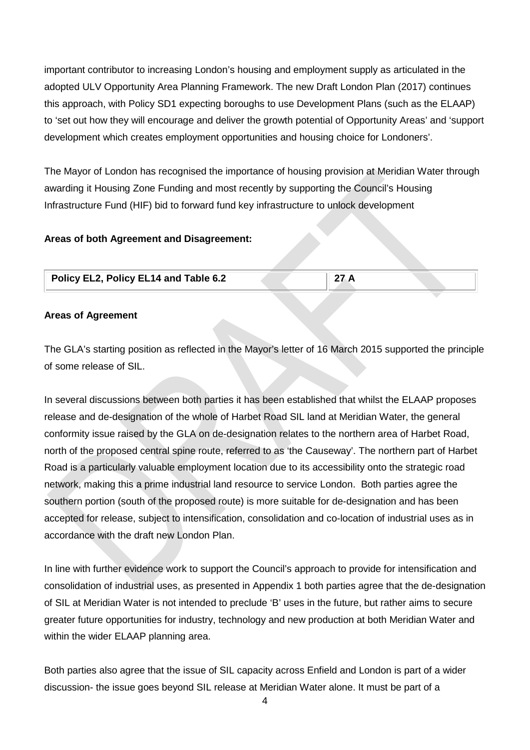important contributor to increasing London's housing and employment supply as articulated in the adopted ULV Opportunity Area Planning Framework. The new Draft London Plan (2017) continues this approach, with Policy SD1 expecting boroughs to use Development Plans (such as the ELAAP) to 'set out how they will encourage and deliver the growth potential of Opportunity Areas' and 'support development which creates employment opportunities and housing choice for Londoners'.

The Mayor of London has recognised the importance of housing provision at Meridian Water through awarding it Housing Zone Funding and most recently by supporting the Council's Housing Infrastructure Fund (HIF) bid to forward fund key infrastructure to unlock development

#### **Areas of both Agreement and Disagreement:**

| Policy EL2, Policy EL14 and Table 6.2 | 27 A |  |
|---------------------------------------|------|--|
|                                       |      |  |

#### **Areas of Agreement**

The GLA's starting position as reflected in the Mayor's letter of 16 March 2015 supported the principle of some release of SIL.

In several discussions between both parties it has been established that whilst the ELAAP proposes release and de-designation of the whole of Harbet Road SIL land at Meridian Water, the general conformity issue raised by the GLA on de-designation relates to the northern area of Harbet Road, north of the proposed central spine route, referred to as 'the Causeway'. The northern part of Harbet Road is a particularly valuable employment location due to its accessibility onto the strategic road network, making this a prime industrial land resource to service London. Both parties agree the southern portion (south of the proposed route) is more suitable for de-designation and has been accepted for release, subject to intensification, consolidation and co-location of industrial uses as in accordance with the draft new London Plan.

In line with further evidence work to support the Council's approach to provide for intensification and consolidation of industrial uses, as presented in Appendix 1 both parties agree that the de-designation of SIL at Meridian Water is not intended to preclude 'B' uses in the future, but rather aims to secure greater future opportunities for industry, technology and new production at both Meridian Water and within the wider ELAAP planning area.

Both parties also agree that the issue of SIL capacity across Enfield and London is part of a wider discussion- the issue goes beyond SIL release at Meridian Water alone. It must be part of a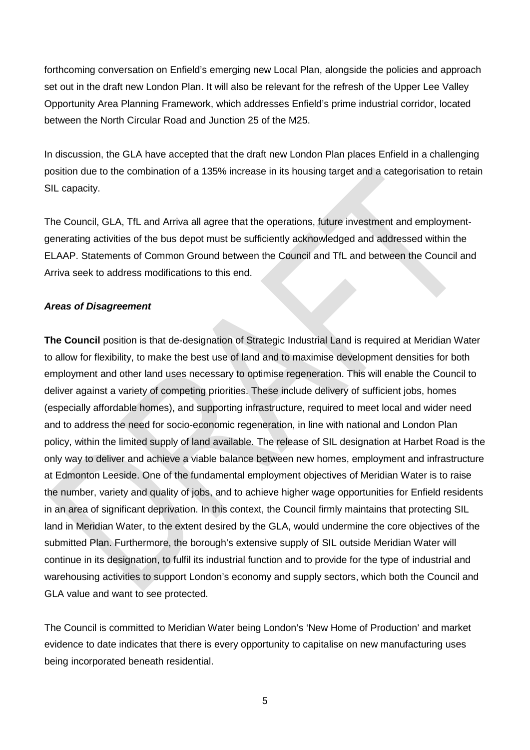forthcoming conversation on Enfield's emerging new Local Plan, alongside the policies and approach set out in the draft new London Plan. It will also be relevant for the refresh of the Upper Lee Valley Opportunity Area Planning Framework, which addresses Enfield's prime industrial corridor, located between the North Circular Road and Junction 25 of the M25.

In discussion, the GLA have accepted that the draft new London Plan places Enfield in a challenging position due to the combination of a 135% increase in its housing target and a categorisation to retain SIL capacity.

The Council, GLA, TfL and Arriva all agree that the operations, future investment and employmentgenerating activities of the bus depot must be sufficiently acknowledged and addressed within the ELAAP. Statements of Common Ground between the Council and TfL and between the Council and Arriva seek to address modifications to this end.

#### *Areas of Disagreement*

**The Council** position is that de-designation of Strategic Industrial Land is required at Meridian Water to allow for flexibility, to make the best use of land and to maximise development densities for both employment and other land uses necessary to optimise regeneration. This will enable the Council to deliver against a variety of competing priorities. These include delivery of sufficient jobs, homes (especially affordable homes), and supporting infrastructure, required to meet local and wider need and to address the need for socio-economic regeneration, in line with national and London Plan policy, within the limited supply of land available. The release of SIL designation at Harbet Road is the only way to deliver and achieve a viable balance between new homes, employment and infrastructure at Edmonton Leeside. One of the fundamental employment objectives of Meridian Water is to raise the number, variety and quality of jobs, and to achieve higher wage opportunities for Enfield residents in an area of significant deprivation. In this context, the Council firmly maintains that protecting SIL land in Meridian Water, to the extent desired by the GLA, would undermine the core objectives of the submitted Plan. Furthermore, the borough's extensive supply of SIL outside Meridian Water will continue in its designation, to fulfil its industrial function and to provide for the type of industrial and warehousing activities to support London's economy and supply sectors, which both the Council and GLA value and want to see protected.

The Council is committed to Meridian Water being London's 'New Home of Production' and market evidence to date indicates that there is every opportunity to capitalise on new manufacturing uses being incorporated beneath residential.

5